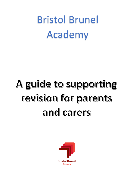Bristol Brunel Academy

# A guide to supporting revision for parents and carers

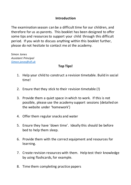#### **Introduction**

The examination season can be a difficult time for our children, and therefore for us as parents. This booklet has been designed to offer some tips and resources to support your child through this difficult period. If you wish to discuss anything within this booklet further, please do not hesitate to contact me at the academy.

Simon Jones *Assistant Principal Simon.jones@clf.uk*

## **Top Tips!**

- 1. Help your child to construct a revision timetable. Build in social time!
- 2. Ensure that they stick to their revision timetable (!)
- 3. Provide them a quiet space in which to work. If this is not possible, please use the academy support sessions (detailed on the website under 'homework')
- 4. Offer them regular snacks and water
- 5. Ensure they have 'down time'. Ideally this should be before bed to help them sleep.
- 6. Provide them with the correct equipment and resources for learning.
- 7. Create revision resources with them. Help test their knowledge by using flashcards, for example.
- 8. Time them completing practice papers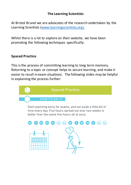#### **The Learning Scientists**

At Bristol Brunel we are advocates of the research undertaken by the Learning Scientists (www.learningscientists.org).

Whilst there is a lot to explore on their website, we have been promoting the following techniques specifically:

#### **Spaced Practice**

This is the process of committing learning to long term memory. Returning to a topic or concept helps to secure learning, and make it easier to recall in exam situations. The following slides may be helpful in explaining the process further:

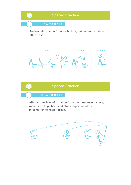

Review information from each class, but not immediately after class.





After you review information from the most recent class, make sure to go back and study important older information to keep it fresh.

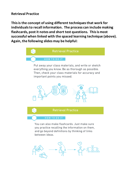#### **Retrieval Practice**

**This is the concept of using different techniques that work for individuals to recall information. The process can include making flashcards, post it notes and short test questions. This is most successful when linked with the spaced learning technique (above). Again, the following slides may be helpful:**